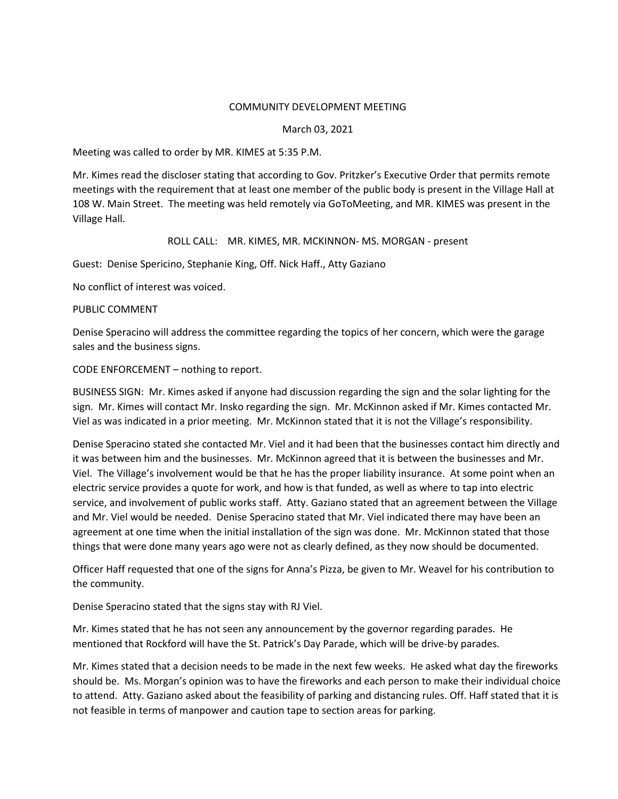## COMMUNITY DEVELOPMENT MEETING

## March 03, 2021

Meeting was called to order by MR. KIMES at 5:35 P.M.

Mr. Kimes read the discloser stating that according to Gov. Pritzker's Executive Order that permits remote meetings with the requirement that at least one member of the public body is present in the Village Hall at 108 W. Main Street. The meeting was held remotely via GoToMeeting, and MR. KIMES was present in the Village Hall.

## ROLL CALL: MR. KIMES, MR. MCKINNON- MS. MORGAN - present

Guest: Denise Spericino, Stephanie King, Off. Nick Haff., Atty Gaziano

No conflict of interest was voiced.

PUBLIC COMMENT

Denise Speracino will address the committee regarding the topics of her concern, which were the garage sales and the business signs.

CODE ENFORCEMENT – nothing to report.

BUSINESS SIGN: Mr. Kimes asked if anyone had discussion regarding the sign and the solar lighting for the sign. Mr. Kimes will contact Mr. Insko regarding the sign. Mr. McKinnon asked if Mr. Kimes contacted Mr. Viel as was indicated in a prior meeting. Mr. McKinnon stated that it is not the Village's responsibility.

Denise Speracino stated she contacted Mr. Viel and it had been that the businesses contact him directly and it was between him and the businesses. Mr. McKinnon agreed that it is between the businesses and Mr. Viel. The Village's involvement would be that he has the proper liability insurance. At some point when an electric service provides a quote for work, and how is that funded, as well as where to tap into electric service, and involvement of public works staff. Atty. Gaziano stated that an agreement between the Village and Mr. Viel would be needed. Denise Speracino stated that Mr. Viel indicated there may have been an agreement at one time when the initial installation of the sign was done. Mr. McKinnon stated that those things that were done many years ago were not as clearly defined, as they now should be documented.

Officer Haff requested that one of the signs for Anna's Pizza, be given to Mr. Weavel for his contribution to the community.

Denise Speracino stated that the signs stay with RJ Viel.

Mr. Kimes stated that he has not seen any announcement by the governor regarding parades. He mentioned that Rockford will have the St. Patrick's Day Parade, which will be drive-by parades.

Mr. Kimes stated that a decision needs to be made in the next few weeks. He asked what day the fireworks should be. Ms. Morgan's opinion was to have the fireworks and each person to make their individual choice to attend. Atty. Gaziano asked about the feasibility of parking and distancing rules. Off. Haff stated that it is not feasible in terms of manpower and caution tape to section areas for parking.